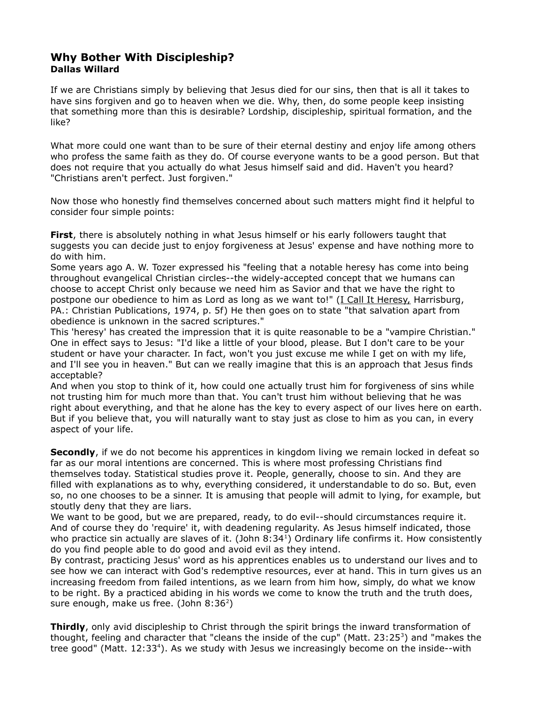## Why Bother With Discipleship? Dallas Willard

If we are Christians simply by believing that Jesus died for our sins, then that is all it takes to have sins forgiven and go to heaven when we die. Why, then, do some people keep insisting that something more than this is desirable? Lordship, discipleship, spiritual formation, and the like?

What more could one want than to be sure of their eternal destiny and enjoy life among others who profess the same faith as they do. Of course everyone wants to be a good person. But that does not require that you actually do what Jesus himself said and did. Haven't you heard? "Christians aren't perfect. Just forgiven."

Now those who honestly find themselves concerned about such matters might find it helpful to consider four simple points:

First, there is absolutely nothing in what Jesus himself or his early followers taught that suggests you can decide just to enjoy forgiveness at Jesus' expense and have nothing more to do with him.

Some years ago A. W. Tozer expressed his "feeling that a notable heresy has come into being throughout evangelical Christian circles--the widely-accepted concept that we humans can choose to accept Christ only because we need him as Savior and that we have the right to postpone our obedience to him as Lord as long as we want to!" (I Call It Heresy, Harrisburg, PA.: Christian Publications, 1974, p. 5f) He then goes on to state "that salvation apart from obedience is unknown in the sacred scriptures."

This 'heresy' has created the impression that it is quite reasonable to be a "vampire Christian." One in effect says to Jesus: "I'd like a little of your blood, please. But I don't care to be your student or have your character. In fact, won't you just excuse me while I get on with my life, and I'll see you in heaven." But can we really imagine that this is an approach that Jesus finds acceptable?

And when you stop to think of it, how could one actually trust him for forgiveness of sins while not trusting him for much more than that. You can't trust him without believing that he was right about everything, and that he alone has the key to every aspect of our lives here on earth. But if you believe that, you will naturally want to stay just as close to him as you can, in every aspect of your life.

**Secondly**, if we do not become his apprentices in kingdom living we remain locked in defeat so far as our moral intentions are concerned. This is where most professing Christians find themselves today. Statistical studies prove it. People, generally, choose to sin. And they are filled with explanations as to why, everything considered, it understandable to do so. But, even so, no one chooses to be a sinner. It is amusing that people will admit to lying, for example, but stoutly deny that they are liars.

We want to be good, but we are prepared, ready, to do evil--should circumstances require it. And of course they do 'require' it, with deadening regularity. As Jesus himself indicated, those who practice sin actually are slaves of it. (John  $8:34<sup>1</sup>$ ) Ordinary life confirms it. How consistently do you find people able to do good and avoid evil as they intend.

By contrast, practicing Jesus' word as his apprentices enables us to understand our lives and to see how we can interact with God's redemptive resources, ever at hand. This in turn gives us an increasing freedom from failed intentions, as we learn from him how, simply, do what we know to be right. By a practiced abiding in his words we come to know the truth and the truth does, sure enough, make us free. (John  $8:36^2$ )

Thirdly, only avid discipleship to Christ through the spirit brings the inward transformation of thought, feeling and character that "cleans the inside of the cup" (Matt.  $23:25<sup>3</sup>$ ) and "makes the tree good" (Matt.  $12:33<sup>4</sup>$ ). As we study with Jesus we increasingly become on the inside--with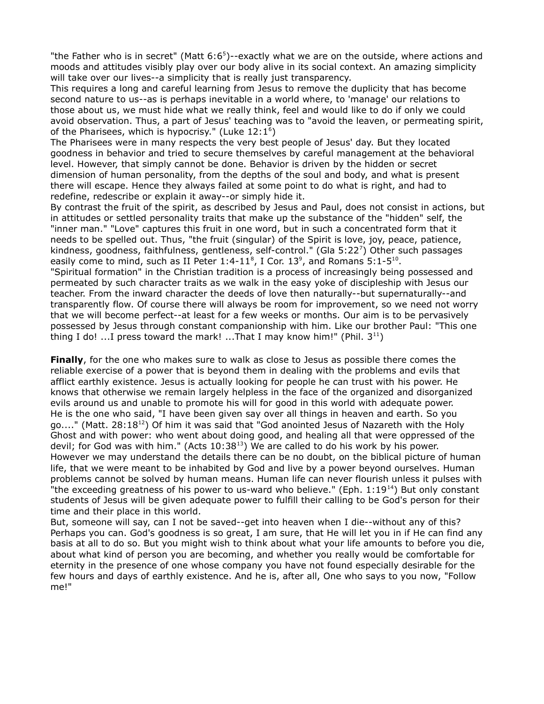"the Father who is in secret" (Matt  $6:6^5$ )--exactly what we are on the outside, where actions and moods and attitudes visibly play over our body alive in its social context. An amazing simplicity will take over our lives--a simplicity that is really just transparency.

This requires a long and careful learning from Jesus to remove the duplicity that has become second nature to us--as is perhaps inevitable in a world where, to 'manage' our relations to those about us, we must hide what we really think, feel and would like to do if only we could avoid observation. Thus, a part of Jesus' teaching was to "avoid the leaven, or permeating spirit, of the Pharisees, which is hypocrisy." (Luke  $12:1^6$ )

The Pharisees were in many respects the very best people of Jesus' day. But they located goodness in behavior and tried to secure themselves by careful management at the behavioral level. However, that simply cannot be done. Behavior is driven by the hidden or secret dimension of human personality, from the depths of the soul and body, and what is present there will escape. Hence they always failed at some point to do what is right, and had to redefine, redescribe or explain it away--or simply hide it.

By contrast the fruit of the spirit, as described by Jesus and Paul, does not consist in actions, but in attitudes or settled personality traits that make up the substance of the "hidden" self, the "inner man." "Love" captures this fruit in one word, but in such a concentrated form that it needs to be spelled out. Thus, "the fruit (singular) of the Spirit is love, joy, peace, patience, kindness, goodness, faithfulness, gentleness, self-control." (Gla 5:22<sup>7</sup>) Other such passages easily come to mind, such as II Peter 1:4-11<sup>8</sup>, I Cor. 13<sup>9</sup>, and Romans 5:1-5<sup>10</sup>.

"Spiritual formation" in the Christian tradition is a process of increasingly being possessed and permeated by such character traits as we walk in the easy yoke of discipleship with Jesus our teacher. From the inward character the deeds of love then naturally--but supernaturally--and transparently flow. Of course there will always be room for improvement, so we need not worry that we will become perfect--at least for a few weeks or months. Our aim is to be pervasively possessed by Jesus through constant companionship with him. Like our brother Paul: "This one thing I do!  $\dots$ I press toward the mark!  $\dots$ That I may know him!" (Phil.  $3^{11}$ )

**Finally**, for the one who makes sure to walk as close to Jesus as possible there comes the reliable exercise of a power that is beyond them in dealing with the problems and evils that afflict earthly existence. Jesus is actually looking for people he can trust with his power. He knows that otherwise we remain largely helpless in the face of the organized and disorganized evils around us and unable to promote his will for good in this world with adequate power. He is the one who said, "I have been given say over all things in heaven and earth. So you  $q$ o...." (Matt. 28:18<sup>12</sup>) Of him it was said that "God anointed Jesus of Nazareth with the Holy Ghost and with power: who went about doing good, and healing all that were oppressed of the devil; for God was with him." (Acts  $10:38^{13}$ ) We are called to do his work by his power. However we may understand the details there can be no doubt, on the biblical picture of human life, that we were meant to be inhabited by God and live by a power beyond ourselves. Human problems cannot be solved by human means. Human life can never flourish unless it pulses with "the exceeding greatness of his power to us-ward who believe." (Eph.  $1:19^{14}$ ) But only constant students of Jesus will be given adequate power to fulfill their calling to be God's person for their time and their place in this world.

But, someone will say, can I not be saved--get into heaven when I die--without any of this? Perhaps you can. God's goodness is so great, I am sure, that He will let you in if He can find any basis at all to do so. But you might wish to think about what your life amounts to before you die, about what kind of person you are becoming, and whether you really would be comfortable for eternity in the presence of one whose company you have not found especially desirable for the few hours and days of earthly existence. And he is, after all, One who says to you now, "Follow me!"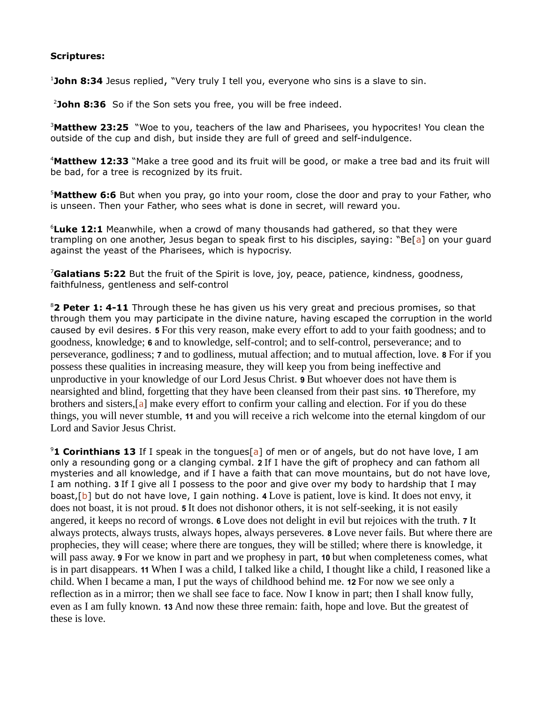## Scriptures:

<sup>1</sup>John 8:34 Jesus replied, "Very truly I tell you, everyone who sins is a slave to sin.

<sup>2</sup>John 8:36 So if the Son sets you free, you will be free indeed.

<sup>3</sup>Matthew 23:25 "Woe to you, teachers of the law and Pharisees, you hypocrites! You clean the outside of the cup and dish, but inside they are full of greed and self-indulgence.

<sup>4</sup>Matthew 12:33 "Make a tree good and its fruit will be good, or make a tree bad and its fruit will be bad, for a tree is recognized by its fruit.

<sup>5</sup>Matthew 6:6 But when you pray, go into your room, close the door and pray to your Father, who is unseen. Then your Father, who sees what is done in secret, will reward you.

 $6$ **Luke 12:1** Meanwhile, when a crowd of many thousands had gathered, so that they were trampling on one another, Jesus began to speak first to his disciples, saying: "Be[a] on your guard against the yeast of the Pharisees, which is hypocrisy.

<sup>7</sup>Galatians 5:22 But the fruit of the Spirit is love, joy, peace, patience, kindness, goodness, faithfulness, gentleness and self-control

<sup>8</sup>2 Peter 1: 4-11 Through these he has given us his very great and precious promises, so that through them you may participate in the divine nature, having escaped the corruption in the world caused by evil desires. 5 For this very reason, make every effort to add to your faith goodness; and to goodness, knowledge; 6 and to knowledge, self-control; and to self-control, perseverance; and to perseverance, godliness; 7 and to godliness, mutual affection; and to mutual affection, love. 8 For if you possess these qualities in increasing measure, they will keep you from being ineffective and unproductive in your knowledge of our Lord Jesus Christ. 9 But whoever does not have them is nearsighted and blind, forgetting that they have been cleansed from their past sins. 10 Therefore, my brothers and sisters,[a] make every effort to confirm your calling and election. For if you do these things, you will never stumble, 11 and you will receive a rich welcome into the eternal kingdom of our Lord and Savior Jesus Christ.

<sup>9</sup>**1 Corinthians 13** If I speak in the tongues[a] of men or of angels, but do not have love, I am only a resounding gong or a clanging cymbal. 2 If I have the gift of prophecy and can fathom all mysteries and all knowledge, and if I have a faith that can move mountains, but do not have love, I am nothing. 3 If I give all I possess to the poor and give over my body to hardship that I may boast, [b] but do not have love, I gain nothing. 4 Love is patient, love is kind. It does not envy, it does not boast, it is not proud. 5 It does not dishonor others, it is not self-seeking, it is not easily angered, it keeps no record of wrongs. 6 Love does not delight in evil but rejoices with the truth. 7 It always protects, always trusts, always hopes, always perseveres. 8 Love never fails. But where there are prophecies, they will cease; where there are tongues, they will be stilled; where there is knowledge, it will pass away. 9 For we know in part and we prophesy in part, 10 but when completeness comes, what is in part disappears. 11 When I was a child, I talked like a child, I thought like a child, I reasoned like a child. When I became a man, I put the ways of childhood behind me. 12 For now we see only a reflection as in a mirror; then we shall see face to face. Now I know in part; then I shall know fully, even as I am fully known. 13 And now these three remain: faith, hope and love. But the greatest of these is love.